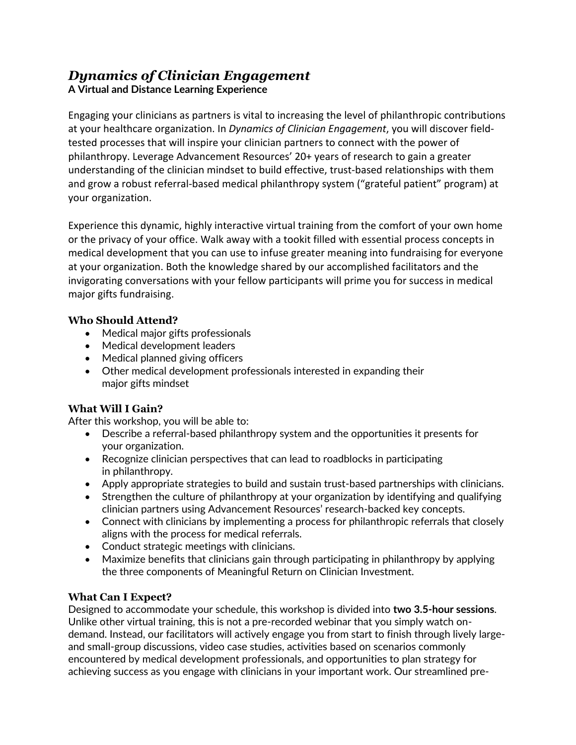### *Dynamics of Clinician Engagement* **A Virtual and Distance Learning Experience**

Engaging your clinicians as partners is vital to increasing the level of philanthropic contributions at your healthcare organization. In *Dynamics of Clinician Engagement*, you will discover fieldtested processes that will inspire your clinician partners to connect with the power of philanthropy. Leverage Advancement Resources' 20+ years of research to gain a greater understanding of the clinician mindset to build effective, trust-based relationships with them and grow a robust referral-based medical philanthropy system ("grateful patient" program) at your organization.

Experience this dynamic, highly interactive virtual training from the comfort of your own home or the privacy of your office. Walk away with a tookit filled with essential process concepts in medical development that you can use to infuse greater meaning into fundraising for everyone at your organization. Both the knowledge shared by our accomplished facilitators and the invigorating conversations with your fellow participants will prime you for success in medical major gifts fundraising.

### **Who Should Attend?**

- Medical major gifts professionals
- Medical development leaders
- Medical planned giving officers
- Other medical development professionals interested in expanding their major gifts mindset

# **What Will I Gain?**

After this workshop, you will be able to:

- Describe a referral-based philanthropy system and the opportunities it presents for your organization.
- Recognize clinician perspectives that can lead to roadblocks in participating in philanthropy.
- Apply appropriate strategies to build and sustain trust-based partnerships with clinicians.
- Strengthen the culture of philanthropy at your organization by identifying and qualifying clinician partners using Advancement Resources' research-backed key concepts.
- Connect with clinicians by implementing a process for philanthropic referrals that closely aligns with the process for medical referrals.
- Conduct strategic meetings with clinicians.
- Maximize benefits that clinicians gain through participating in philanthropy by applying the three components of Meaningful Return on Clinician Investment.

# **What Can I Expect?**

Designed to accommodate your schedule, this workshop is divided into **two 3.5-hour sessions**. Unlike other virtual training, this is not a pre-recorded webinar that you simply watch ondemand. Instead, our facilitators will actively engage you from start to finish through lively largeand small-group discussions, video case studies, activities based on scenarios commonly encountered by medical development professionals, and opportunities to plan strategy for achieving success as you engage with clinicians in your important work. Our streamlined pre